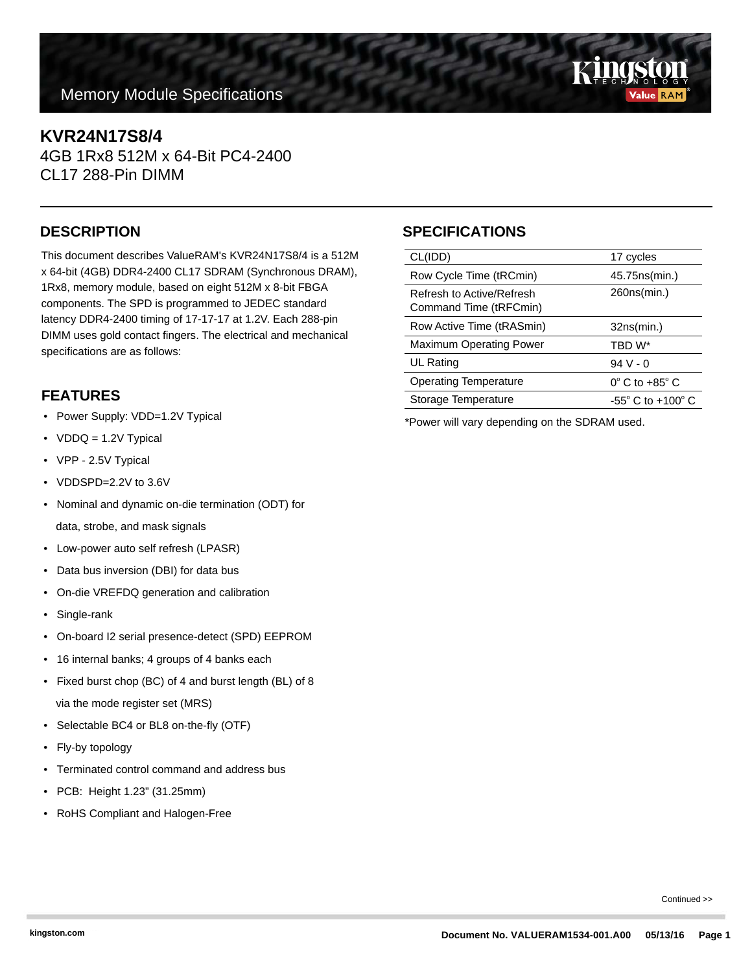# **Memory Module Specifications**

### **KVR24N17S8/4**

4GB 1Rx8 512M x 64-Bit PC4-2400 CL17 288-Pin DIMM

This document describes ValueRAM's KVR24N17S8/4 is a 512M x 64-bit (4GB) DDR4-2400 CL17 SDRAM (Synchronous DRAM), 1Rx8, memory module, based on eight 512M x 8-bit FBGA components. The SPD is programmed to JEDEC standard latency DDR4-2400 timing of 17-17-17 at 1.2V. Each 288-pin DIMM uses gold contact fingers. The electrical and mechanical specifications are as follows:

### **FEATURES**

- Power Supply: VDD=1.2V Typical
- VDDQ = 1.2V Typical
- VPP 2.5V Typical
- VDDSPD=2.2V to 3.6V
- Nominal and dynamic on-die termination (ODT) for data, strobe, and mask signals
- Low-power auto self refresh (LPASR)
- Data bus inversion (DBI) for data bus
- On-die VREFDQ generation and calibration
- Single-rank
- On-board I2 serial presence-detect (SPD) EEPROM
- 16 internal banks; 4 groups of 4 banks each
- Fixed burst chop (BC) of 4 and burst length (BL) of 8 via the mode register set (MRS)
- Selectable BC4 or BL8 on-the-fly (OTF)
- Fly-by topology
- Terminated control command and address bus
- PCB: Height 1.23" (31.25mm)
- RoHS Compliant and Halogen-Free

# **DESCRIPTION SPECIFICATIONS**

| CL(IDD)                                             | 17 cycles                           |
|-----------------------------------------------------|-------------------------------------|
| Row Cycle Time (tRCmin)                             | 45.75 ns (min.)                     |
| Refresh to Active/Refresh<br>Command Time (tRFCmin) | 260ns(min.)                         |
| Row Active Time (tRASmin)                           | 32ns(min.)                          |
| <b>Maximum Operating Power</b>                      | TBD W*                              |
| UL Rating                                           | $94V - 0$                           |
| <b>Operating Temperature</b>                        | $0^\circ$ C to +85 $^\circ$ C       |
| Storage Temperature                                 | $-55^{\circ}$ C to $+100^{\circ}$ C |
|                                                     |                                     |

\*Power will vary depending on the SDRAM used.

Continued >>